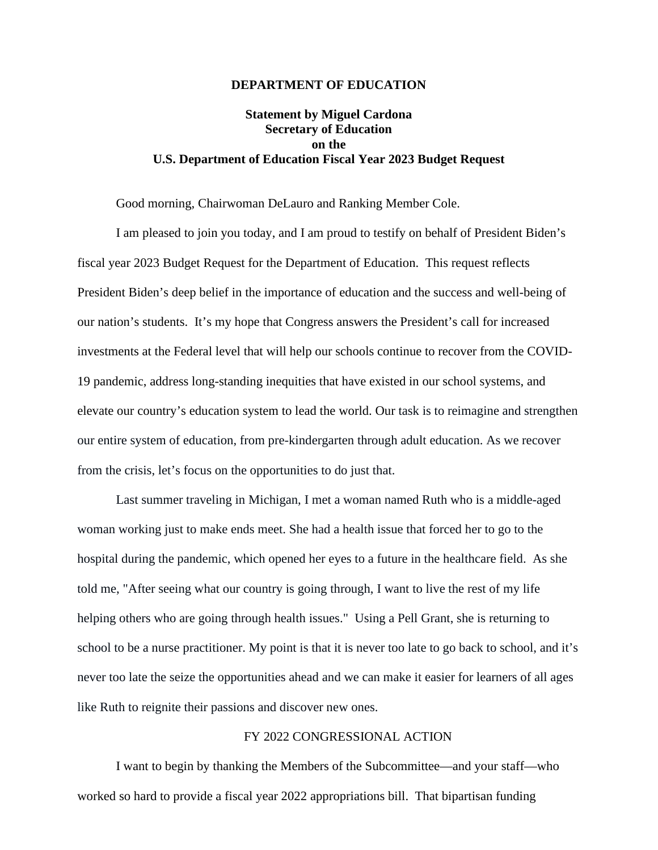### **DEPARTMENT OF EDUCATION**

# **Statement by Miguel Cardona Secretary of Education on the U.S. Department of Education Fiscal Year 2023 Budget Request**

Good morning, Chairwoman DeLauro and Ranking Member Cole.

I am pleased to join you today, and I am proud to testify on behalf of President Biden's fiscal year 2023 Budget Request for the Department of Education. This request reflects President Biden's deep belief in the importance of education and the success and well-being of our nation's students. It's my hope that Congress answers the President's call for increased investments at the Federal level that will help our schools continue to recover from the COVID-19 pandemic, address long-standing inequities that have existed in our school systems, and elevate our country's education system to lead the world. Our task is to reimagine and strengthen our entire system of education, from pre-kindergarten through adult education. As we recover from the crisis, let's focus on the opportunities to do just that.

Last summer traveling in Michigan, I met a woman named Ruth who is a middle-aged woman working just to make ends meet. She had a health issue that forced her to go to the hospital during the pandemic, which opened her eyes to a future in the healthcare field. As she told me, "After seeing what our country is going through, I want to live the rest of my life helping others who are going through health issues." Using a Pell Grant, she is returning to school to be a nurse practitioner. My point is that it is never too late to go back to school, and it's never too late the seize the opportunities ahead and we can make it easier for learners of all ages like Ruth to reignite their passions and discover new ones.

### FY 2022 CONGRESSIONAL ACTION

I want to begin by thanking the Members of the Subcommittee—and your staff—who worked so hard to provide a fiscal year 2022 appropriations bill. That bipartisan funding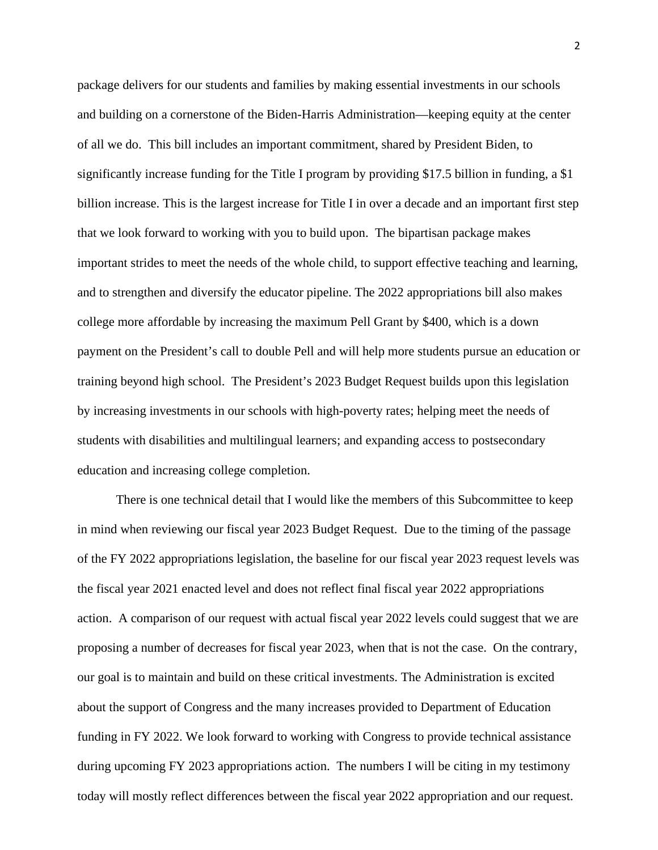package delivers for our students and families by making essential investments in our schools and building on a cornerstone of the Biden-Harris Administration—keeping equity at the center of all we do. This bill includes an important commitment, shared by President Biden, to significantly increase funding for the Title I program by providing \$17.5 billion in funding, a \$1 billion increase. This is the largest increase for Title I in over a decade and an important first step that we look forward to working with you to build upon. The bipartisan package makes important strides to meet the needs of the whole child, to support effective teaching and learning, and to strengthen and diversify the educator pipeline. The 2022 appropriations bill also makes college more affordable by increasing the maximum Pell Grant by \$400, which is a down payment on the President's call to double Pell and will help more students pursue an education or training beyond high school. The President's 2023 Budget Request builds upon this legislation by increasing investments in our schools with high-poverty rates; helping meet the needs of students with disabilities and multilingual learners; and expanding access to postsecondary education and increasing college completion.

There is one technical detail that I would like the members of this Subcommittee to keep in mind when reviewing our fiscal year 2023 Budget Request. Due to the timing of the passage of the FY 2022 appropriations legislation, the baseline for our fiscal year 2023 request levels was the fiscal year 2021 enacted level and does not reflect final fiscal year 2022 appropriations action. A comparison of our request with actual fiscal year 2022 levels could suggest that we are proposing a number of decreases for fiscal year 2023, when that is not the case. On the contrary, our goal is to maintain and build on these critical investments. The Administration is excited about the support of Congress and the many increases provided to Department of Education funding in FY 2022. We look forward to working with Congress to provide technical assistance during upcoming FY 2023 appropriations action. The numbers I will be citing in my testimony today will mostly reflect differences between the fiscal year 2022 appropriation and our request.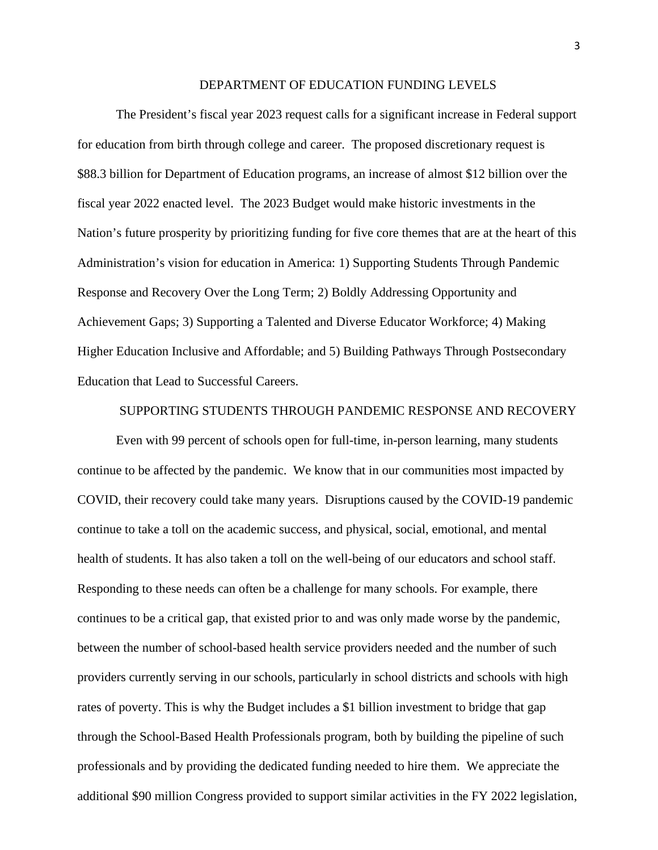#### DEPARTMENT OF EDUCATION FUNDING LEVELS

The President's fiscal year 2023 request calls for a significant increase in Federal support for education from birth through college and career. The proposed discretionary request is \$88.3 billion for Department of Education programs, an increase of almost \$12 billion over the fiscal year 2022 enacted level. The 2023 Budget would make historic investments in the Nation's future prosperity by prioritizing funding for five core themes that are at the heart of this Administration's vision for education in America: 1) Supporting Students Through Pandemic Response and Recovery Over the Long Term; 2) Boldly Addressing Opportunity and Achievement Gaps; 3) Supporting a Talented and Diverse Educator Workforce; 4) Making Higher Education Inclusive and Affordable; and 5) Building Pathways Through Postsecondary Education that Lead to Successful Careers.

# SUPPORTING STUDENTS THROUGH PANDEMIC RESPONSE AND RECOVERY

Even with 99 percent of schools open for full-time, in-person learning, many students continue to be affected by the pandemic. We know that in our communities most impacted by COVID, their recovery could take many years. Disruptions caused by the COVID-19 pandemic continue to take a toll on the academic success, and physical, social, emotional, and mental health of students. It has also taken a toll on the well-being of our educators and school staff. Responding to these needs can often be a challenge for many schools. For example, there continues to be a critical gap, that existed prior to and was only made worse by the pandemic, between the number of school-based health service providers needed and the number of such providers currently serving in our schools, particularly in school districts and schools with high rates of poverty. This is why the Budget includes a \$1 billion investment to bridge that gap through the School-Based Health Professionals program, both by building the pipeline of such professionals and by providing the dedicated funding needed to hire them. We appreciate the additional \$90 million Congress provided to support similar activities in the FY 2022 legislation,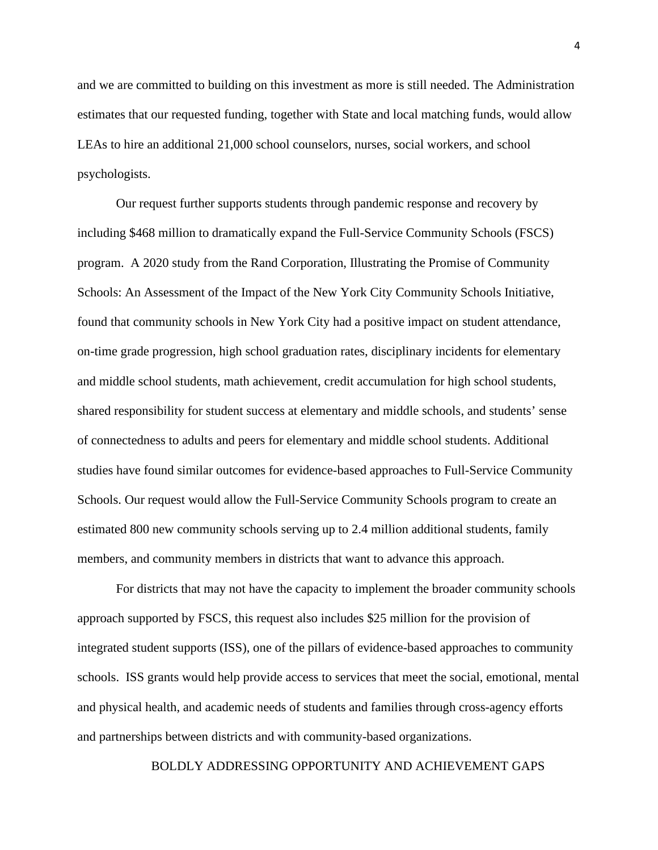and we are committed to building on this investment as more is still needed. The Administration estimates that our requested funding, together with State and local matching funds, would allow LEAs to hire an additional 21,000 school counselors, nurses, social workers, and school psychologists.

Our request further supports students through pandemic response and recovery by including \$468 million to dramatically expand the Full-Service Community Schools (FSCS) program. A 2020 study from the Rand Corporation, Illustrating the Promise of Community Schools: An Assessment of the Impact of the New York City Community Schools Initiative, found that community schools in New York City had a positive impact on student attendance, on-time grade progression, high school graduation rates, disciplinary incidents for elementary and middle school students, math achievement, credit accumulation for high school students, shared responsibility for student success at elementary and middle schools, and students' sense of connectedness to adults and peers for elementary and middle school students. Additional studies have found similar outcomes for evidence-based approaches to Full-Service Community Schools. Our request would allow the Full-Service Community Schools program to create an estimated 800 new community schools serving up to 2.4 million additional students, family members, and community members in districts that want to advance this approach.

For districts that may not have the capacity to implement the broader community schools approach supported by FSCS, this request also includes \$25 million for the provision of integrated student supports (ISS), one of the pillars of evidence-based approaches to community schools. ISS grants would help provide access to services that meet the social, emotional, mental and physical health, and academic needs of students and families through cross-agency efforts and partnerships between districts and with community-based organizations.

BOLDLY ADDRESSING OPPORTUNITY AND ACHIEVEMENT GAPS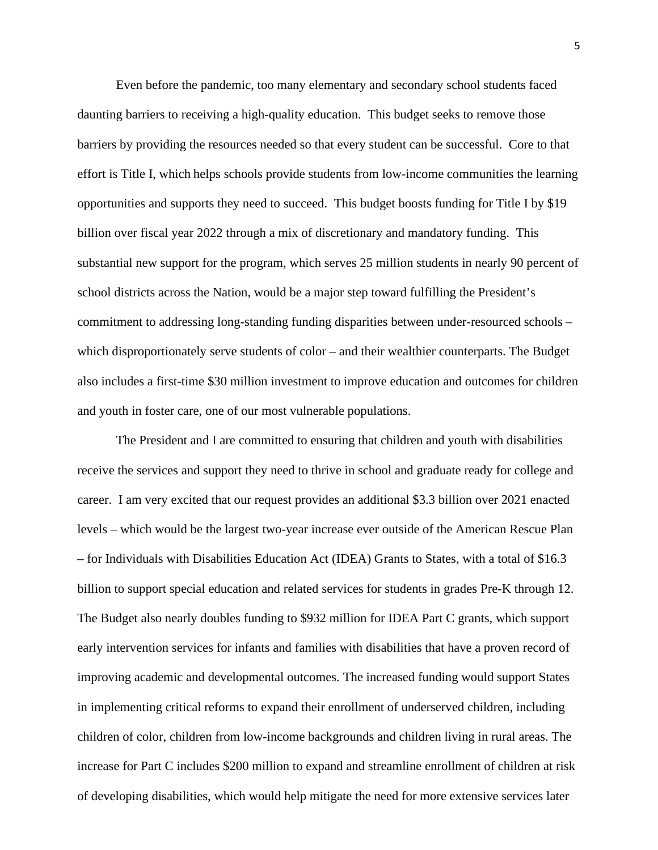Even before the pandemic, too many elementary and secondary school students faced daunting barriers to receiving a high-quality education. This budget seeks to remove those barriers by providing the resources needed so that every student can be successful. Core to that effort is Title I, which helps schools provide students from low-income communities the learning opportunities and supports they need to succeed. This budget boosts funding for Title I by \$19 billion over fiscal year 2022 through a mix of discretionary and mandatory funding. This substantial new support for the program, which serves 25 million students in nearly 90 percent of school districts across the Nation, would be a major step toward fulfilling the President's commitment to addressing long-standing funding disparities between under-resourced schools – which disproportionately serve students of color – and their wealthier counterparts. The Budget also includes a first-time \$30 million investment to improve education and outcomes for children and youth in foster care, one of our most vulnerable populations.

The President and I are committed to ensuring that children and youth with disabilities receive the services and support they need to thrive in school and graduate ready for college and career. I am very excited that our request provides an additional \$3.3 billion over 2021 enacted levels – which would be the largest two-year increase ever outside of the American Rescue Plan – for Individuals with Disabilities Education Act (IDEA) Grants to States, with a total of \$16.3 billion to support special education and related services for students in grades Pre-K through 12. The Budget also nearly doubles funding to \$932 million for IDEA Part C grants, which support early intervention services for infants and families with disabilities that have a proven record of improving academic and developmental outcomes. The increased funding would support States in implementing critical reforms to expand their enrollment of underserved children, including children of color, children from low-income backgrounds and children living in rural areas. The increase for Part C includes \$200 million to expand and streamline enrollment of children at risk of developing disabilities, which would help mitigate the need for more extensive services later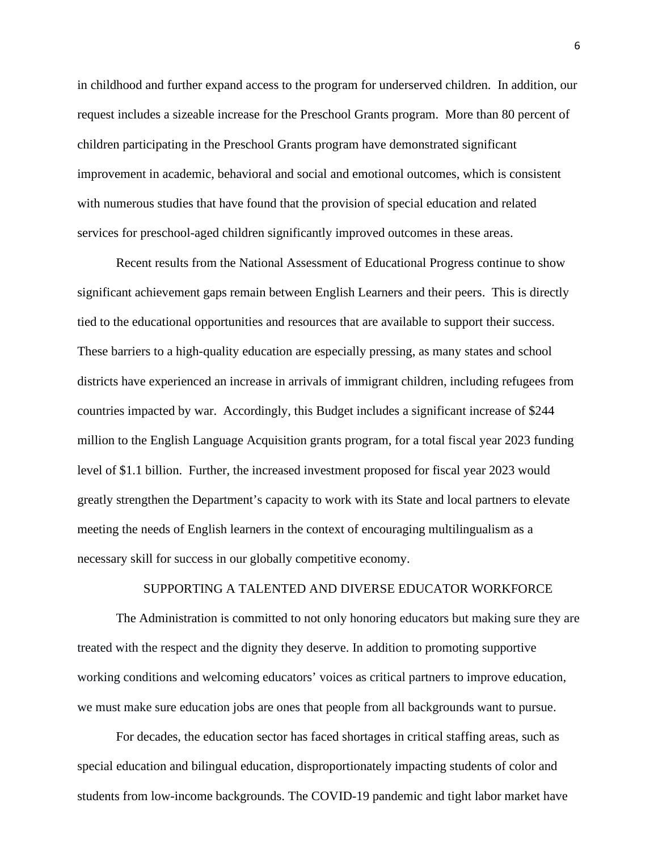in childhood and further expand access to the program for underserved children. In addition, our request includes a sizeable increase for the Preschool Grants program. More than 80 percent of children participating in the Preschool Grants program have demonstrated significant improvement in academic, behavioral and social and emotional outcomes, which is consistent with numerous studies that have found that the provision of special education and related services for preschool-aged children significantly improved outcomes in these areas.

Recent results from the National Assessment of Educational Progress continue to show significant achievement gaps remain between English Learners and their peers. This is directly tied to the educational opportunities and resources that are available to support their success. These barriers to a high-quality education are especially pressing, as many states and school districts have experienced an increase in arrivals of immigrant children, including refugees from countries impacted by war. Accordingly, this Budget includes a significant increase of \$244 million to the English Language Acquisition grants program, for a total fiscal year 2023 funding level of \$1.1 billion. Further, the increased investment proposed for fiscal year 2023 would greatly strengthen the Department's capacity to work with its State and local partners to elevate meeting the needs of English learners in the context of encouraging multilingualism as a necessary skill for success in our globally competitive economy.

# SUPPORTING A TALENTED AND DIVERSE EDUCATOR WORKFORCE

The Administration is committed to not only honoring educators but making sure they are treated with the respect and the dignity they deserve. In addition to promoting supportive working conditions and welcoming educators' voices as critical partners to improve education, we must make sure education jobs are ones that people from all backgrounds want to pursue.

For decades, the education sector has faced shortages in critical staffing areas, such as special education and bilingual education, disproportionately impacting students of color and students from low-income backgrounds. The COVID-19 pandemic and tight labor market have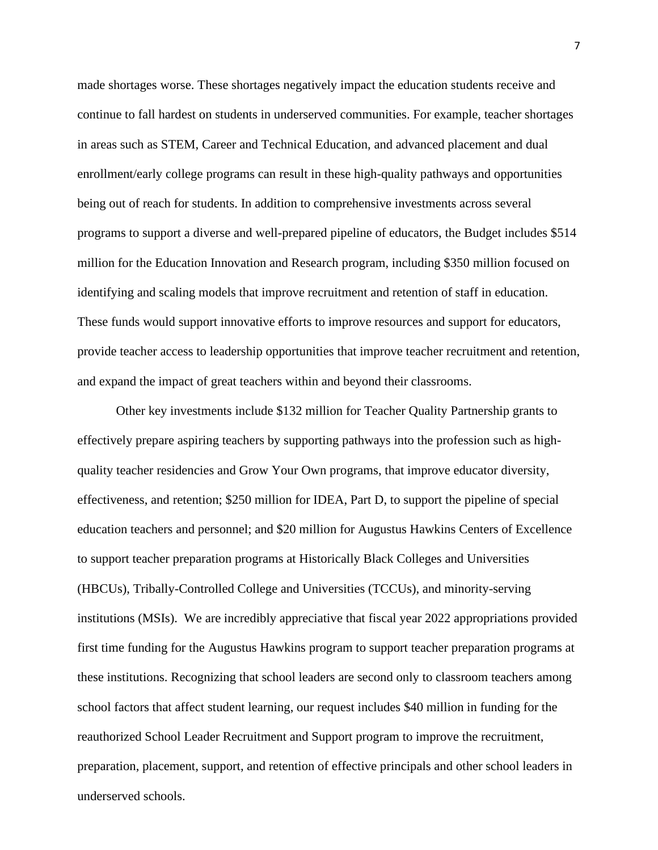made shortages worse. These shortages negatively impact the education students receive and continue to fall hardest on students in underserved communities. For example, teacher shortages in areas such as STEM, Career and Technical Education, and advanced placement and dual enrollment/early college programs can result in these high-quality pathways and opportunities being out of reach for students. In addition to comprehensive investments across several programs to support a diverse and well-prepared pipeline of educators, the Budget includes \$514 million for the Education Innovation and Research program, including \$350 million focused on identifying and scaling models that improve recruitment and retention of staff in education. These funds would support innovative efforts to improve resources and support for educators, provide teacher access to leadership opportunities that improve teacher recruitment and retention, and expand the impact of great teachers within and beyond their classrooms.

Other key investments include \$132 million for Teacher Quality Partnership grants to effectively prepare aspiring teachers by supporting pathways into the profession such as highquality teacher residencies and Grow Your Own programs, that improve educator diversity, effectiveness, and retention; \$250 million for IDEA, Part D, to support the pipeline of special education teachers and personnel; and \$20 million for Augustus Hawkins Centers of Excellence to support teacher preparation programs at Historically Black Colleges and Universities (HBCUs), Tribally-Controlled College and Universities (TCCUs), and minority-serving institutions (MSIs). We are incredibly appreciative that fiscal year 2022 appropriations provided first time funding for the Augustus Hawkins program to support teacher preparation programs at these institutions. Recognizing that school leaders are second only to classroom teachers among school factors that affect student learning, our request includes \$40 million in funding for the reauthorized School Leader Recruitment and Support program to improve the recruitment, preparation, placement, support, and retention of effective principals and other school leaders in underserved schools.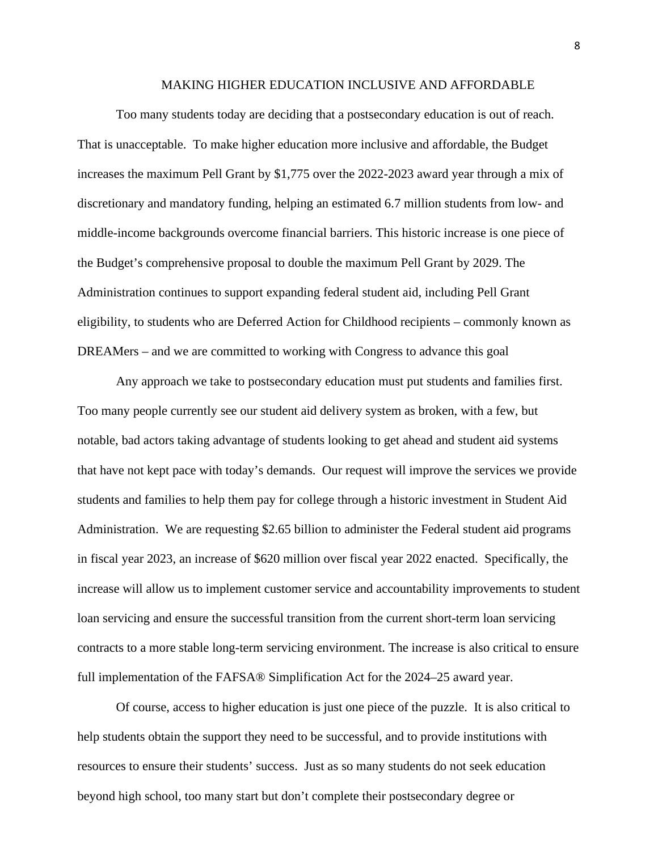#### MAKING HIGHER EDUCATION INCLUSIVE AND AFFORDABLE

Too many students today are deciding that a postsecondary education is out of reach. That is unacceptable. To make higher education more inclusive and affordable, the Budget increases the maximum Pell Grant by \$1,775 over the 2022-2023 award year through a mix of discretionary and mandatory funding, helping an estimated 6.7 million students from low- and middle-income backgrounds overcome financial barriers. This historic increase is one piece of the Budget's comprehensive proposal to double the maximum Pell Grant by 2029. The Administration continues to support expanding federal student aid, including Pell Grant eligibility, to students who are Deferred Action for Childhood recipients – commonly known as DREAMers – and we are committed to working with Congress to advance this goal

Any approach we take to postsecondary education must put students and families first. Too many people currently see our student aid delivery system as broken, with a few, but notable, bad actors taking advantage of students looking to get ahead and student aid systems that have not kept pace with today's demands. Our request will improve the services we provide students and families to help them pay for college through a historic investment in Student Aid Administration. We are requesting \$2.65 billion to administer the Federal student aid programs in fiscal year 2023, an increase of \$620 million over fiscal year 2022 enacted. Specifically, the increase will allow us to implement customer service and accountability improvements to student loan servicing and ensure the successful transition from the current short-term loan servicing contracts to a more stable long-term servicing environment. The increase is also critical to ensure full implementation of the FAFSA® Simplification Act for the 2024–25 award year.

Of course, access to higher education is just one piece of the puzzle. It is also critical to help students obtain the support they need to be successful, and to provide institutions with resources to ensure their students' success. Just as so many students do not seek education beyond high school, too many start but don't complete their postsecondary degree or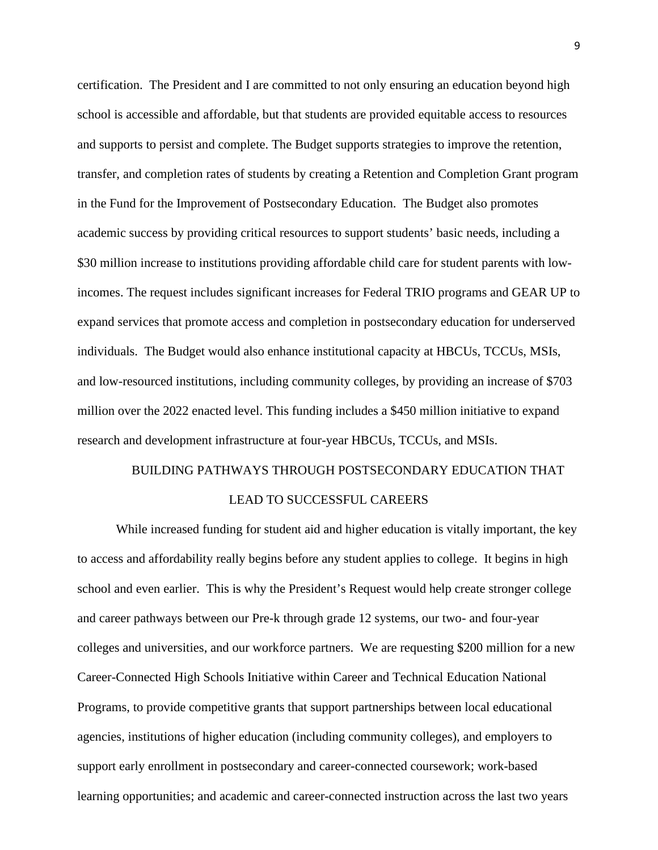certification. The President and I are committed to not only ensuring an education beyond high school is accessible and affordable, but that students are provided equitable access to resources and supports to persist and complete. The Budget supports strategies to improve the retention, transfer, and completion rates of students by creating a Retention and Completion Grant program in the Fund for the Improvement of Postsecondary Education. The Budget also promotes academic success by providing critical resources to support students' basic needs, including a \$30 million increase to institutions providing affordable child care for student parents with lowincomes. The request includes significant increases for Federal TRIO programs and GEAR UP to expand services that promote access and completion in postsecondary education for underserved individuals. The Budget would also enhance institutional capacity at HBCUs, TCCUs, MSIs, and low-resourced institutions, including community colleges, by providing an increase of \$703 million over the 2022 enacted level. This funding includes a \$450 million initiative to expand research and development infrastructure at four-year HBCUs, TCCUs, and MSIs.

# BUILDING PATHWAYS THROUGH POSTSECONDARY EDUCATION THAT LEAD TO SUCCESSFUL CAREERS

While increased funding for student aid and higher education is vitally important, the key to access and affordability really begins before any student applies to college. It begins in high school and even earlier. This is why the President's Request would help create stronger college and career pathways between our Pre-k through grade 12 systems, our two- and four-year colleges and universities, and our workforce partners. We are requesting \$200 million for a new Career-Connected High Schools Initiative within Career and Technical Education National Programs, to provide competitive grants that support partnerships between local educational agencies, institutions of higher education (including community colleges), and employers to support early enrollment in postsecondary and career-connected coursework; work-based learning opportunities; and academic and career-connected instruction across the last two years